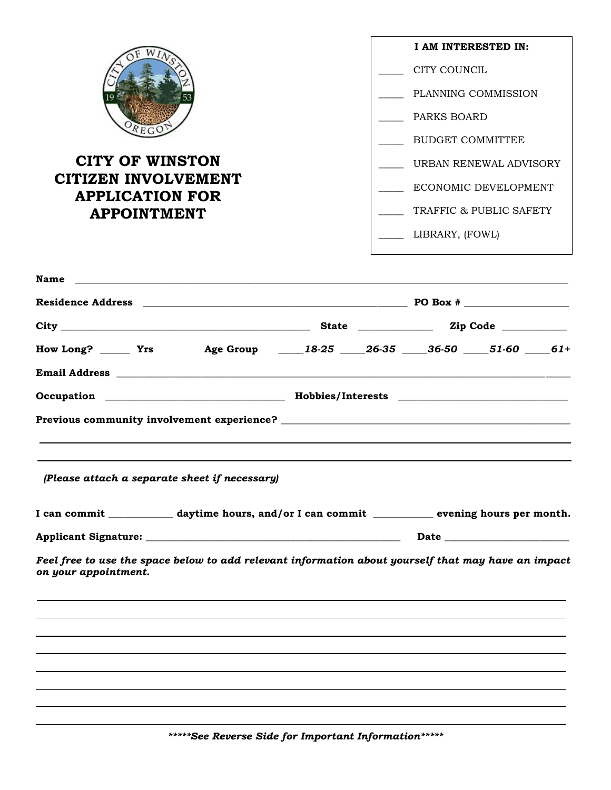

## **CITY OF WINSTON CITIZEN INVOLVEMENT APPLICATION FOR APPOINTMENT**

| I AM INTERESTED IN:     |
|-------------------------|
| CITY COUNCIL            |
| PLANNING COMMISSION     |
| PARKS BOARD             |
| BUDGET COMMITTEE        |
| URBAN RENEWAL ADVISORY  |
| ECONOMIC DEVELOPMENT    |
| TRAFFIC & PUBLIC SAFETY |
| LIBRARY, (FOWL)         |

| How Long? ______ Yrs Age Group ____18-25 ____26-35 ____36-50 ____51-60 ____61+                                              |  |  |  |  |
|-----------------------------------------------------------------------------------------------------------------------------|--|--|--|--|
|                                                                                                                             |  |  |  |  |
|                                                                                                                             |  |  |  |  |
| Previous community involvement experience?                                                                                  |  |  |  |  |
|                                                                                                                             |  |  |  |  |
|                                                                                                                             |  |  |  |  |
| (Please attach a separate sheet if necessary)                                                                               |  |  |  |  |
| I can commit _____________ daytime hours, and/or I can commit ____________ evening hours per month.                         |  |  |  |  |
|                                                                                                                             |  |  |  |  |
| Feel free to use the space below to add relevant information about yourself that may have an impact<br>on your appointment. |  |  |  |  |
|                                                                                                                             |  |  |  |  |
|                                                                                                                             |  |  |  |  |
|                                                                                                                             |  |  |  |  |
|                                                                                                                             |  |  |  |  |
|                                                                                                                             |  |  |  |  |
|                                                                                                                             |  |  |  |  |

*\*\*\*\*\*See Reverse Side for Important Information\*\*\*\*\**